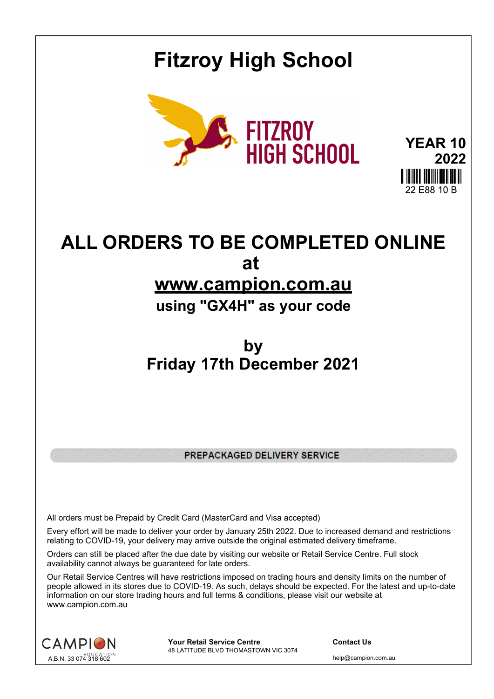## **Fitzroy High School**



**YEAR 10 2022** 22 E88 10 B

# **ALL ORDERS TO BE COMPLETED ONLINE at**

### **www.campion.com.au**

#### **using "GX4H" as your code**

### **by Friday 17th December 2021**

PREPACKAGED DELIVERY SERVICE

All orders must be Prepaid by Credit Card (MasterCard and Visa accepted)

Every effort will be made to deliver your order by January 25th 2022. Due to increased demand and restrictions relating to COVID-19, your delivery may arrive outside the original estimated delivery timeframe.

Orders can still be placed after the due date by visiting our website or Retail Service Centre. Full stock availability cannot always be guaranteed for late orders.

Our Retail Service Centres will have restrictions imposed on trading hours and density limits on the number of people allowed in its stores due to COVID-19. As such, delays should be expected. For the latest and up-to-date information on our store trading hours and full terms & conditions, please visit our website at www.campion.com.au



**Your Retail Service Centre Contact Us** 48 LATITUDE BLVD THOMASTOWN VIC 3074

help@campion.com.au